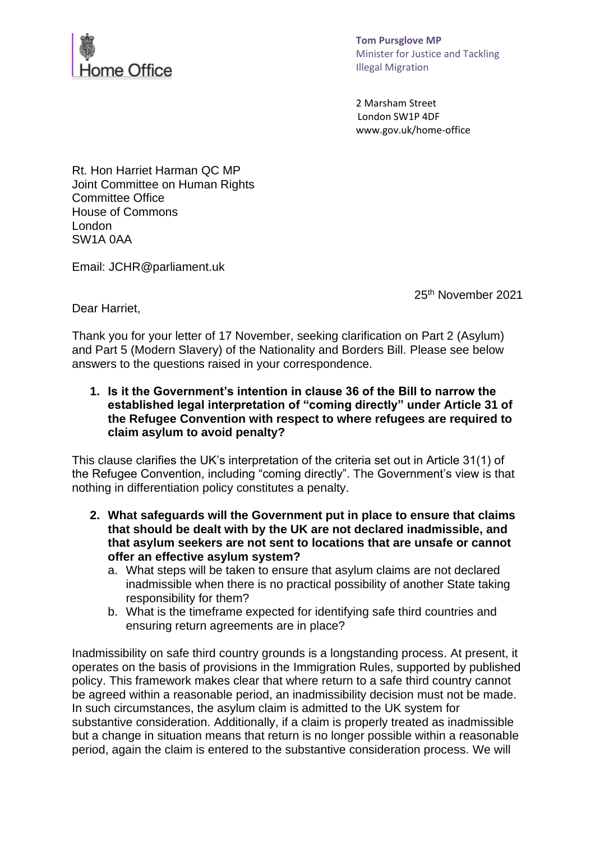

**Tom Pursglove MP** Minister for Justice and Tackling Illegal Migration  

2 Marsham Street  London SW1P 4DF  www.gov.uk/home-office 

Rt. Hon Harriet Harman QC MP Joint Committee on Human Rights Committee Office House of Commons London SW1A 0AA

Email: JCHR@parliament.uk

25 th November 2021

Dear Harriet,

Thank you for your letter of 17 November, seeking clarification on Part 2 (Asylum) and Part 5 (Modern Slavery) of the Nationality and Borders Bill. Please see below answers to the questions raised in your correspondence.

**1. Is it the Government's intention in clause 36 of the Bill to narrow the established legal interpretation of "coming directly" under Article 31 of the Refugee Convention with respect to where refugees are required to claim asylum to avoid penalty?**

This clause clarifies the UK's interpretation of the criteria set out in Article 31(1) of the Refugee Convention, including "coming directly". The Government's view is that nothing in differentiation policy constitutes a penalty.

- **2. What safeguards will the Government put in place to ensure that claims that should be dealt with by the UK are not declared inadmissible, and that asylum seekers are not sent to locations that are unsafe or cannot offer an effective asylum system?**
	- a. What steps will be taken to ensure that asylum claims are not declared inadmissible when there is no practical possibility of another State taking responsibility for them?
	- b. What is the timeframe expected for identifying safe third countries and ensuring return agreements are in place?

Inadmissibility on safe third country grounds is a longstanding process. At present, it operates on the basis of provisions in the Immigration Rules, supported by published policy. This framework makes clear that where return to a safe third country cannot be agreed within a reasonable period, an inadmissibility decision must not be made. In such circumstances, the asylum claim is admitted to the UK system for substantive consideration. Additionally, if a claim is properly treated as inadmissible but a change in situation means that return is no longer possible within a reasonable period, again the claim is entered to the substantive consideration process. We will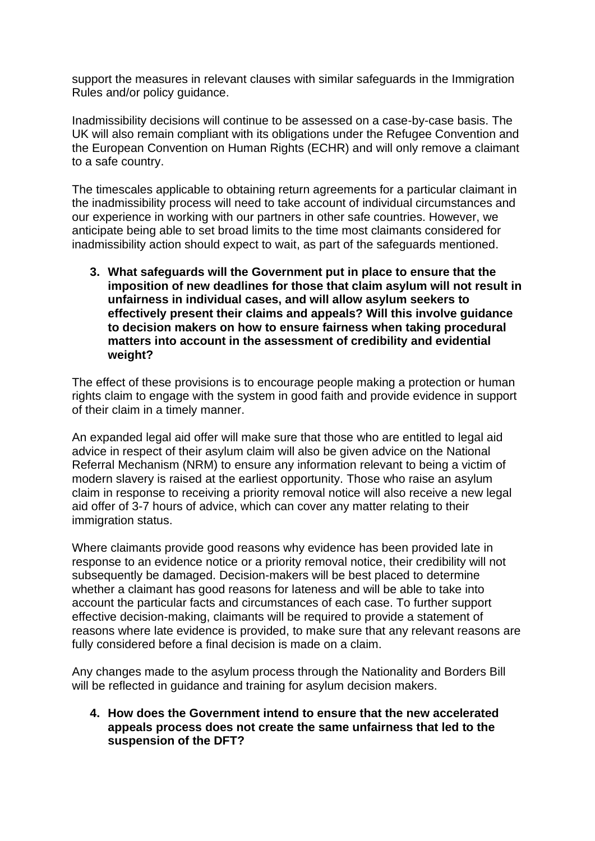support the measures in relevant clauses with similar safeguards in the Immigration Rules and/or policy guidance.

Inadmissibility decisions will continue to be assessed on a case-by-case basis. The UK will also remain compliant with its obligations under the Refugee Convention and the European Convention on Human Rights (ECHR) and will only remove a claimant to a safe country.

The timescales applicable to obtaining return agreements for a particular claimant in the inadmissibility process will need to take account of individual circumstances and our experience in working with our partners in other safe countries. However, we anticipate being able to set broad limits to the time most claimants considered for inadmissibility action should expect to wait, as part of the safeguards mentioned.

**3. What safeguards will the Government put in place to ensure that the imposition of new deadlines for those that claim asylum will not result in unfairness in individual cases, and will allow asylum seekers to effectively present their claims and appeals? Will this involve guidance to decision makers on how to ensure fairness when taking procedural matters into account in the assessment of credibility and evidential weight?** 

The effect of these provisions is to encourage people making a protection or human rights claim to engage with the system in good faith and provide evidence in support of their claim in a timely manner.

An expanded legal aid offer will make sure that those who are entitled to legal aid advice in respect of their asylum claim will also be given advice on the National Referral Mechanism (NRM) to ensure any information relevant to being a victim of modern slavery is raised at the earliest opportunity. Those who raise an asylum claim in response to receiving a priority removal notice will also receive a new legal aid offer of 3-7 hours of advice, which can cover any matter relating to their immigration status.

Where claimants provide good reasons why evidence has been provided late in response to an evidence notice or a priority removal notice, their credibility will not subsequently be damaged. Decision-makers will be best placed to determine whether a claimant has good reasons for lateness and will be able to take into account the particular facts and circumstances of each case. To further support effective decision-making, claimants will be required to provide a statement of reasons where late evidence is provided, to make sure that any relevant reasons are fully considered before a final decision is made on a claim.

Any changes made to the asylum process through the Nationality and Borders Bill will be reflected in guidance and training for asylum decision makers.

**4. How does the Government intend to ensure that the new accelerated appeals process does not create the same unfairness that led to the suspension of the DFT?**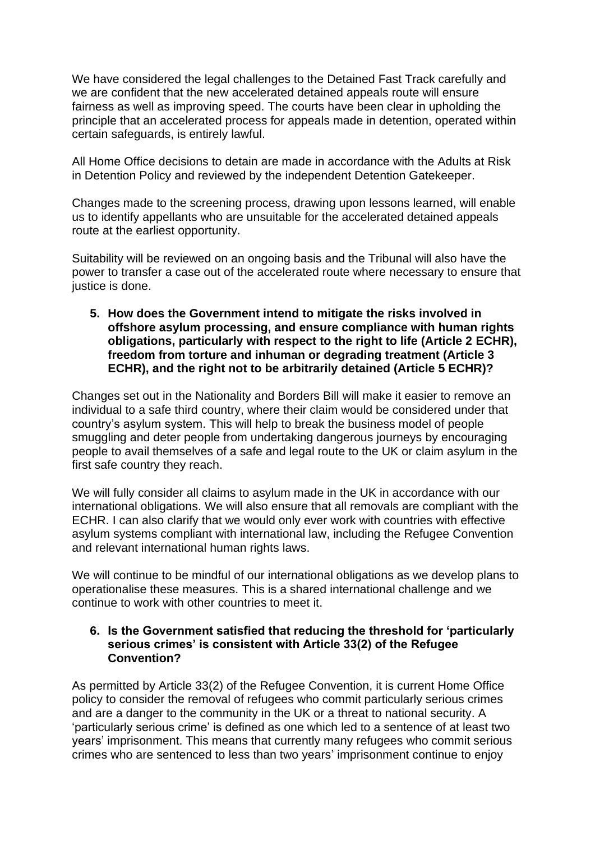We have considered the legal challenges to the Detained Fast Track carefully and we are confident that the new accelerated detained appeals route will ensure fairness as well as improving speed. The courts have been clear in upholding the principle that an accelerated process for appeals made in detention, operated within certain safeguards, is entirely lawful.

All Home Office decisions to detain are made in accordance with the Adults at Risk in Detention Policy and reviewed by the independent Detention Gatekeeper.

Changes made to the screening process, drawing upon lessons learned, will enable us to identify appellants who are unsuitable for the accelerated detained appeals route at the earliest opportunity.

Suitability will be reviewed on an ongoing basis and the Tribunal will also have the power to transfer a case out of the accelerated route where necessary to ensure that justice is done.

**5. How does the Government intend to mitigate the risks involved in offshore asylum processing, and ensure compliance with human rights obligations, particularly with respect to the right to life (Article 2 ECHR), freedom from torture and inhuman or degrading treatment (Article 3 ECHR), and the right not to be arbitrarily detained (Article 5 ECHR)?**

Changes set out in the Nationality and Borders Bill will make it easier to remove an individual to a safe third country, where their claim would be considered under that country's asylum system. This will help to break the business model of people smuggling and deter people from undertaking dangerous journeys by encouraging people to avail themselves of a safe and legal route to the UK or claim asylum in the first safe country they reach.

We will fully consider all claims to asylum made in the UK in accordance with our international obligations. We will also ensure that all removals are compliant with the ECHR. I can also clarify that we would only ever work with countries with effective asylum systems compliant with international law, including the Refugee Convention and relevant international human rights laws.

We will continue to be mindful of our international obligations as we develop plans to operationalise these measures. This is a shared international challenge and we continue to work with other countries to meet it.

## **6. Is the Government satisfied that reducing the threshold for 'particularly serious crimes' is consistent with Article 33(2) of the Refugee Convention?**

As permitted by Article 33(2) of the Refugee Convention, it is current Home Office policy to consider the removal of refugees who commit particularly serious crimes and are a danger to the community in the UK or a threat to national security. A 'particularly serious crime' is defined as one which led to a sentence of at least two years' imprisonment. This means that currently many refugees who commit serious crimes who are sentenced to less than two years' imprisonment continue to enjoy